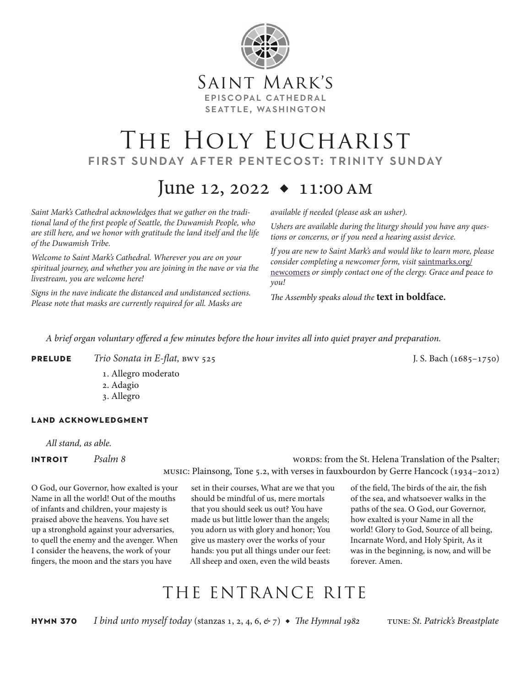

# THE HOLY EUCHARIST first sunday after pentecost: trinity sunday

# June 12, 2022  $\bullet$  11:00 AM

*Saint Mark's Cathedral acknowledges that we gather on the traditional land of the first people of Seattle, the Duwamish People, who are still here, and we honor with gratitude the land itself and the life of the Duwamish Tribe.* 

*Welcome to Saint Mark's Cathedral. Wherever you are on your spiritual journey, and whether you are joining in the nave or via the livestream, you are welcome here!*

*Signs in the nave indicate the distanced and undistanced sections. Please note that masks are currently required for all. Masks are* 

*available if needed (please ask an usher).*

*Ushers are available during the liturgy should you have any questions or concerns, or if you need a hearing assist device.*

*If you are new to Saint Mark's and would like to learn more, please consider completing a newcomer form, visit* saintmarks.org/ newcomers *or simply contact one of the clergy. Grace and peace to you!*

*The Assembly speaks aloud the* **text in boldface.**

*A brief organ voluntary offered a few minutes before the hour invites all into quiet prayer and preparation.*

**PRELUDE** *Trio Sonata in E-flat,* bwv 525 J.S. Bach (1685–1750)

- 1. Allegro moderato
- 2. Adagio
- 3. Allegro

## **land acknowledgment**

*All stand, as able.*

**INTROIT** *Psalm 8* 2 methods: from the St. Helena Translation of the Psalter; music: Plainsong, Tone 5.2, with verses in fauxbourdon by Gerre Hancock (1934–2012)

O God, our Governor, how exalted is your Name in all the world! Out of the mouths of infants and children, your majesty is praised above the heavens. You have set up a stronghold against your adversaries, to quell the enemy and the avenger. When I consider the heavens, the work of your fingers, the moon and the stars you have

set in their courses, What are we that you should be mindful of us, mere mortals that you should seek us out? You have made us but little lower than the angels; you adorn us with glory and honor; You give us mastery over the works of your hands: you put all things under our feet: All sheep and oxen, even the wild beasts

of the field, The birds of the air, the fish of the sea, and whatsoever walks in the paths of the sea. O God, our Governor, how exalted is your Name in all the world! Glory to God, Source of all being, Incarnate Word, and Holy Spirit, As it was in the beginning, is now, and will be forever. Amen.

# THE ENTRANCE RITE

**hymn 370** *I bind unto myself today* (stanzas 1, 2, 4, 6, *&* 7) ◆ *The Hymnal 1982* tune: *St. Patrick's Breastplate*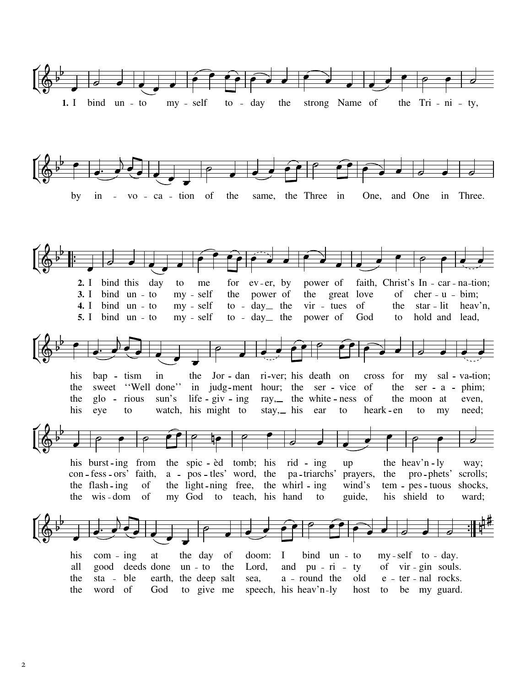





 $\overline{2}$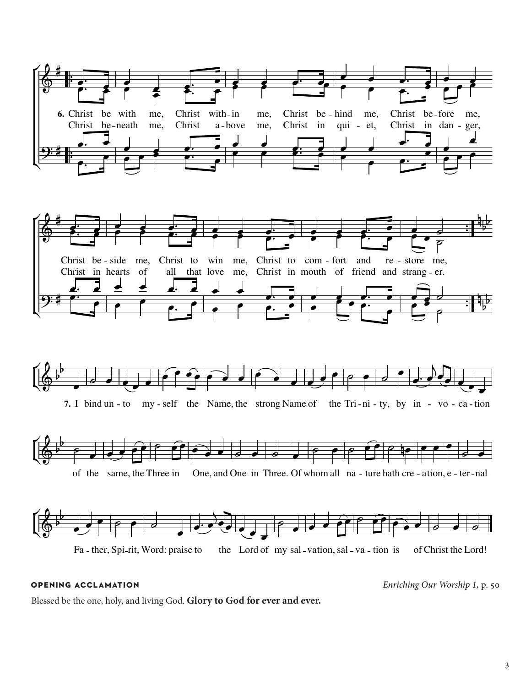

## **OPENING ACCLAMATION**

Enriching Our Worship 1, p. 50

Blessed be the one, holy, and living God. Glory to God for ever and ever.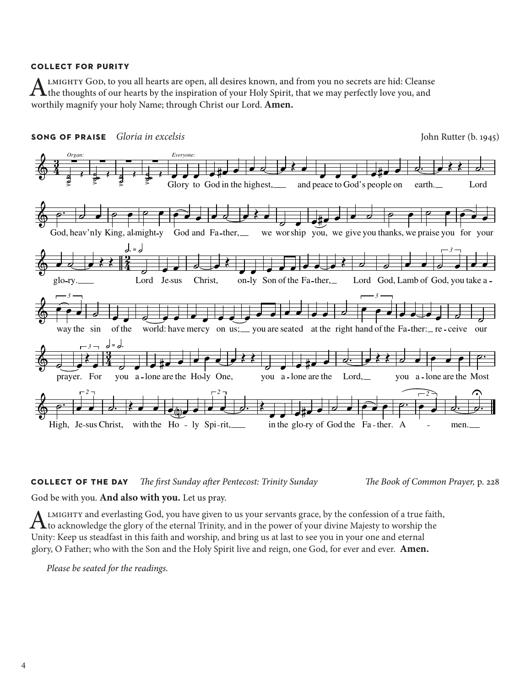## **collect for purity**

ALMIGHTY GOD, to you all hearts are open, all desires known, and from you no secrets are hid: Cleanse<br>the thoughts of our hearts by the inspiration of your Holy Spirit, that we may perfectly love you, and worthily magnify your holy Name; through Christ our Lord. **Amen.**



# **collect of the day** *The first Sunday after Pentecost: Trinity Sunday The Book of Common Prayer,* p. 228

# God be with you. **And also with you.** Let us pray.

ALMIGHTY and everlasting God, you have given to us your servants grace, by the confession of a true faith, to acknowledge the glory of the eternal Trinity, and in the power of your divine Majesty to worship the Unity: Keep us steadfast in this faith and worship, and bring us at last to see you in your one and eternal glory, O Father; who with the Son and the Holy Spirit live and reign, one God, for ever and ever. **Amen.**

*Please be seated for the readings.*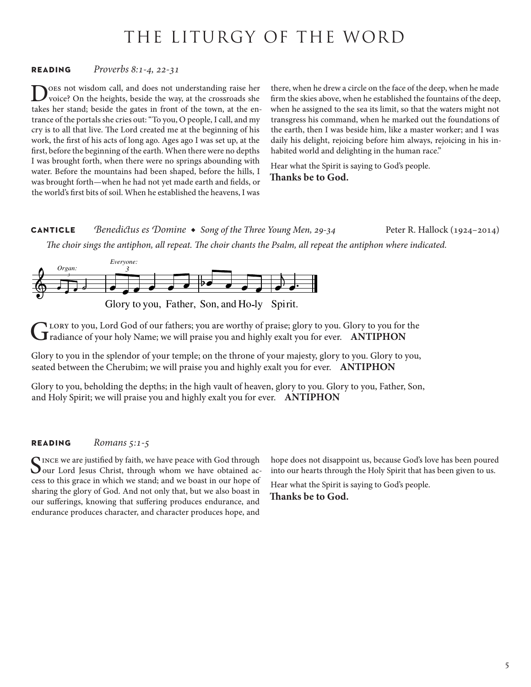# THE LITURGY OF THE WORD

# **reading** *Proverbs 8:1-4, 22-31*

Does not wisdom call, and does not understanding raise her voice? On the heights, beside the way, at the crossroads she takes her stand; beside the gates in front of the town, at the entrance of the portals she cries out: "To you, O people, I call, and my cry is to all that live. The Lord created me at the beginning of his work, the first of his acts of long ago. Ages ago I was set up, at the first, before the beginning of the earth. When there were no depths I was brought forth, when there were no springs abounding with water. Before the mountains had been shaped, before the hills, I was brought forth—when he had not yet made earth and fields, or the world's first bits of soil. When he established the heavens, I was

there, when he drew a circle on the face of the deep, when he made firm the skies above, when he established the fountains of the deep, when he assigned to the sea its limit, so that the waters might not transgress his command, when he marked out the foundations of the earth, then I was beside him, like a master worker; and I was daily his delight, rejoicing before him always, rejoicing in his inhabited world and delighting in the human race."

Hear what the Spirit is saying to God's people.

**Thanks be to God.**

**canticle** *Benedictus es Domine* ◆ *Song of the Three Young Men, 29-34* Peter R. Hallock (1924–2014) *The choir sings the antiphon, all repeat. The choir chants the Psalm, all repeat the antiphon where indicated.*



Glory to you, Lord God of our fathers; you are worthy of praise; glory to you. Glory to you for the radiance of your holy Name; we will praise you and highly exalt you for ever. **ANTIPHON**

Glory to you in the splendor of your temple; on the throne of your majesty, glory to you. Glory to you, seated between the Cherubim; we will praise you and highly exalt you for ever. **ANTIPHON**

Glory to you, beholding the depths; in the high vault of heaven, glory to you. Glory to you, Father, Son, and Holy Spirit; we will praise you and highly exalt you for ever. **ANTIPHON**

## **reading** *Romans 5:1-5*

INCE we are justified by faith, we have peace with God through our Lord Jesus Christ, through whom we have obtained access to this grace in which we stand; and we boast in our hope of sharing the glory of God. And not only that, but we also boast in our sufferings, knowing that suffering produces endurance, and endurance produces character, and character produces hope, and

hope does not disappoint us, because God's love has been poured into our hearts through the Holy Spirit that has been given to us.

Hear what the Spirit is saying to God's people. **Thanks be to God.**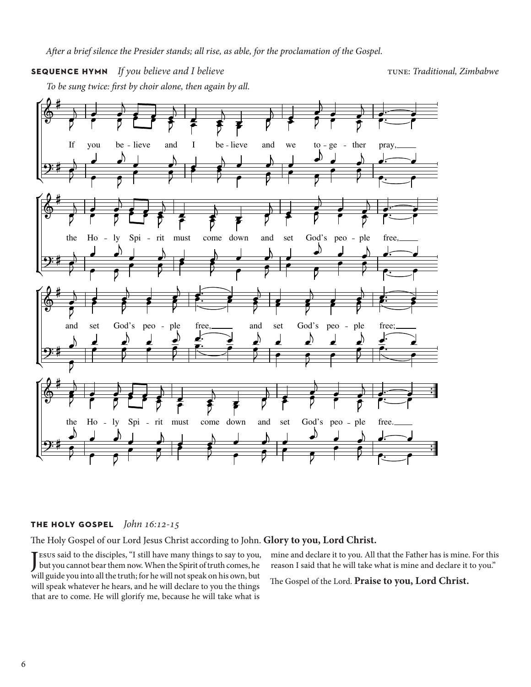## **SEQUENCE HYMN** *If you believe and I believe* the *Traditional, Zimbabwe* tune: *Traditional, Zimbabwe*

*To be sung twice: first by choir alone, then again by all.*



# **the holy gospel** *John 16:12-15*

The Holy Gospel of our Lord Jesus Christ according to John. **Glory to you, Lord Christ.**

J esus said to the disciples, "I still have many things to say to you, but you cannot bear them now. When the Spirit of truth comes, he will guide you into all the truth; for he will not speak on his own, but will speak whatever he hears, and he will declare to you the things that are to come. He will glorify me, because he will take what is

mine and declare it to you. All that the Father has is mine. For this reason I said that he will take what is mine and declare it to you."

The Gospel of the Lord. **Praise to you, Lord Christ.**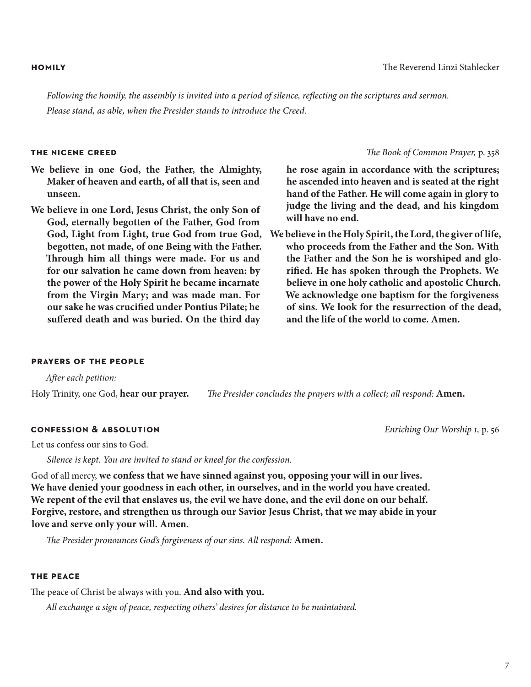*Following the homily, the assembly is invited into a period of silence, reflecting on the scriptures and sermon. Please stand, as able, when the Presider stands to introduce the Creed.*

# **the nicene creed** *The Book of Common Prayer,* p. 358

- **We believe in one God, the Father, the Almighty, Maker of heaven and earth, of all that is, seen and unseen.**
- **We believe in one Lord, Jesus Christ, the only Son of God, eternally begotten of the Father, God from God, Light from Light, true God from true God, begotten, not made, of one Being with the Father. Through him all things were made. For us and for our salvation he came down from heaven: by the power of the Holy Spirit he became incarnate from the Virgin Mary; and was made man. For our sake he was crucified under Pontius Pilate; he suffered death and was buried. On the third day**

**he rose again in accordance with the scriptures; he ascended into heaven and is seated at the right hand of the Father. He will come again in glory to judge the living and the dead, and his kingdom will have no end.**

**We believe in the Holy Spirit, the Lord, the giver of life, who proceeds from the Father and the Son. With the Father and the Son he is worshiped and glorified. He has spoken through the Prophets. We believe in one holy catholic and apostolic Church. We acknowledge one baptism for the forgiveness of sins. We look for the resurrection of the dead, and the life of the world to come. Amen.**

### **prayers of the people**

*After each petition:*

Holy Trinity, one God, **hear our prayer.** *The Presider concludes the prayers with a collect; all respond:* **Amen.**

# **confession & absolution** *Enriching Our Worship 1,* p. 56

Let us confess our sins to God.

*Silence is kept. You are invited to stand or kneel for the confession.*

God of all mercy, **we confess that we have sinned against you, opposing your will in our lives. We have denied your goodness in each other, in ourselves, and in the world you have created. We repent of the evil that enslaves us, the evil we have done, and the evil done on our behalf. Forgive, restore, and strengthen us through our Savior Jesus Christ, that we may abide in your love and serve only your will. Amen.**

*The Presider pronounces God's forgiveness of our sins. All respond:* **Amen.**

### **the peace**

The peace of Christ be always with you. **And also with you.**

*All exchange a sign of peace, respecting others' desires for distance to be maintained.* 

### **homily** The Reverend Linzi Stahlecker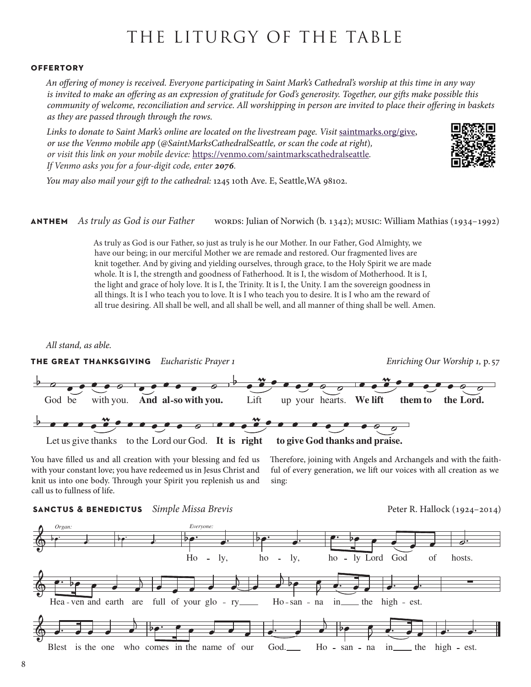# THE LITURGY OF THE TABLE

### **offertory**

*An offering of money is received. Everyone participating in Saint Mark's Cathedral's worship at this time in any way is invited to make an offering as an expression of gratitude for God's generosity. Together, our gifts make possible this community of welcome, reconciliation and service. All worshipping in person are invited to place their offering in baskets as they are passed through through the rows.* 

Links to donate to Saint Mark's online are located on the livestream page. Visit [saintmarks.org/give,](http://saintmarks.org/give) *or use the Venmo mobile app* (*@SaintMarksCathedralSeattle, or scan the code at right*)*, or visit this link on your mobile device:* <https://venmo.com/saintmarkscathedralseattle>*. If Venmo asks you for a four-digit code, enter 2076.*



*You may also mail your gift to the cathedral:* 1245 10th Ave. E, Seattle,WA 98102.

## **anthem** *As truly as God is our Father* words: Julian of Norwich (b. 1342); music: William Mathias (1934–1992)

As truly as God is our Father, so just as truly is he our Mother. In our Father, God Almighty, we have our being; in our merciful Mother we are remade and restored. Our fragmented lives are knit together. And by giving and yielding ourselves, through grace, to the Holy Spirit we are made whole. It is I, the strength and goodness of Fatherhood. It is I, the wisdom of Motherhood. It is I, the light and grace of holy love. It is I, the Trinity. It is I, the Unity. I am the sovereign goodness in all things. It is I who teach you to love. It is I who teach you to desire. It is I who am the reward of all true desiring. All shall be well, and all shall be well, and all manner of thing shall be well. Amen.

# All stand, as able.



You have filled us and all creation with your blessing and fed us with your constant love; you have redeemed us in Jesus Christ and knit us into one body. Through your Spirit you replenish us and with your constant love; you have redeemed us in Jesus Christ and<br>knit us into one body. Through your Spirit you replenish us and<br>Head of Head of Head of Head of Head of Head of Head of Head of Head of Head of Head of Head call us to fullness of life. MEN. A )<br>T

Therefore, joining with Angels and Archangels and with the faithful of every generation, we lift our voices with all creation as we sing:  $\mathbb{Z}$ 

### **sanctus & benedictus** *Simple Missa Brevis* Peter R. Hallock (1924–2014)

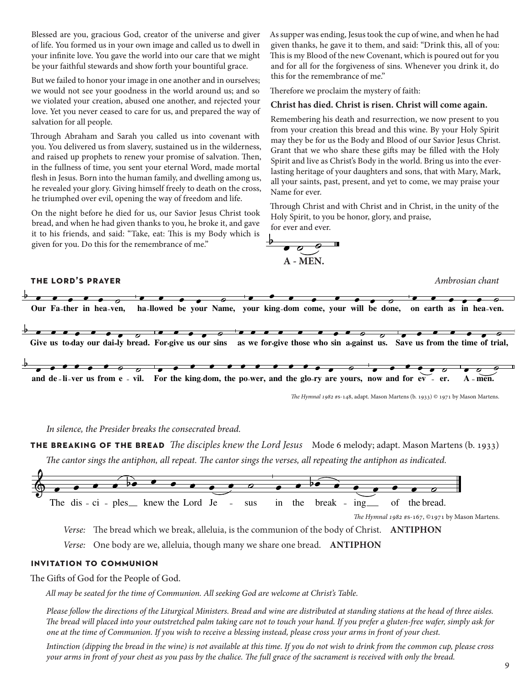Blessed are you, gracious God, creator of the universe and giver of life. You formed us in your own image and called us to dwell in your infinite love. You gave the world into our care that we might be your faithful stewards and show forth your bountiful grace.

But we failed to honor your image in one another and in ourselves; we would not see your goodness in the world around us; and so we violated your creation, abused one another, and rejected your love. Yet you never ceased to care for us, and prepared the way of salvation for all people.

Through Abraham and Sarah you called us into covenant with you. You delivered us from slavery, sustained us in the wilderness, and raised up prophets to renew your promise of salvation. Then, in the fullness of time, you sent your eternal Word, made mortal flesh in Jesus. Born into the human family, and dwelling among us, he revealed your glory. Giving himself freely to death on the cross, he triumphed over evil, opening the way of freedom and life.

On the night before he died for us, our Savior Jesus Christ took bread, and when he had given thanks to you, he broke it, and gave it to his friends, and said: "Take, eat: This is my Body which is given for you. Do this for the remembrance of me."

As supper was ending, Jesus took the cup of wine, and when he had given thanks, he gave it to them, and said: "Drink this, all of you: This is my Blood of the new Covenant, which is poured out for you and for all for the forgiveness of sins. Whenever you drink it, do this for the remembrance of me." ז<br>ד

Therefore we proclaim the mystery of faith:

### Christ has died. Christ is risen. Christ will come again.

Remembering his death and resurrection, we now present to you from your creation this bread and this wine. By your Holy Spirit from your creation this bread and this wine. By your Holy Spirit<br>may they be for us the Body and Blood of our Savior Jesus Christ.<br>Grant that we who share these gifts may be filled with the Holy Grant that we who share these gifts may be filled with the Holy Spirit and live as Christ's Body in the world. Bring us into the everlasting heritage of your daughters and sons, that with Mary, Mark, all your saints, past, present, and yet to come, we may praise your Name for ever. an your sames,<br>Name for ever.  $\frac{1}{2}$ 

Through Christ and with Christ and in Christ, in the unity of the Holy Spirit, to you be honor, glory, and praise, for ever and ever.



**the lord's prayer** *Ambrosian chant*



*In silence, the Presider breaks the consecrated bread.*

**the breaking of the bread** *The disciples knew the Lord Jesus* Mode 6 melody; adapt. Mason Martens (b. 1933) *The cantor sings the antiphon, all repeat. The cantor sings the verses, all repeating the antiphon as indicated.*



*The Hymnal 1982* #s-167, ©1971 by Mason Martens.

*Verse:* The bread which we break, alleluia, is the communion of the body of Christ. **ANTIPHON**

*Verse:* One body are we, alleluia, though many we share one bread. **ANTIPHON**

### **invitation to communion**

The Gifts of God for the People of God.

*All may be seated for the time of Communion. All seeking God are welcome at Christ's Table.* 

*Please follow the directions of the Liturgical Ministers. Bread and wine are distributed at standing stations at the head of three aisles. The bread will placed into your outstretched palm taking care not to touch your hand. If you prefer a gluten-free wafer, simply ask for one at the time of Communion. If you wish to receive a blessing instead, please cross your arms in front of your chest.*

*Intinction (dipping the bread in the wine) is not available at this time. If you do not wish to drink from the common cup, please cross your arms in front of your chest as you pass by the chalice. The full grace of the sacrament is received with only the bread.*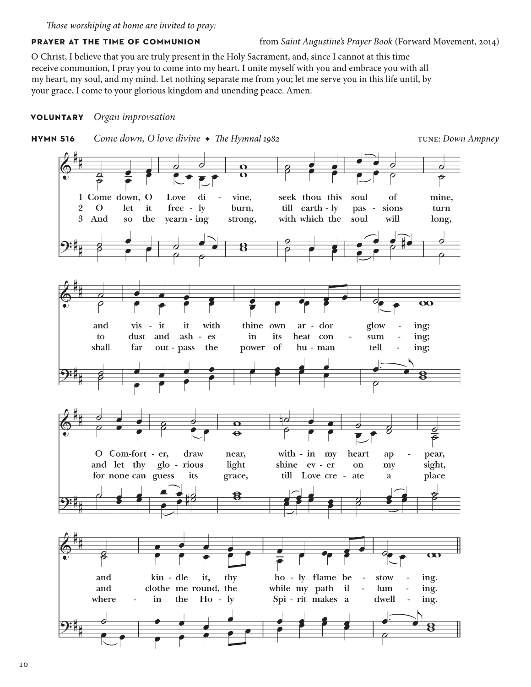*Those worshiping at home are invited to pray:*

## **PRAYER AT THE TIME OF COMMUNION** from *Saint Augustine's Prayer Book* (Forward Movement, 2014)

O Christ, I believe that you are truly present in the Holy Sacrament, and, since I cannot at this time receive communion, I pray you to come into my heart. I unite myself with you and embrace you with all my heart, my soul, and my mind. Let nothing separate me from you; let me serve you in this life until, by your grace, I come to your glorious kingdom and unending peace. Amen.

# **voluntary** *Organ improvsation*

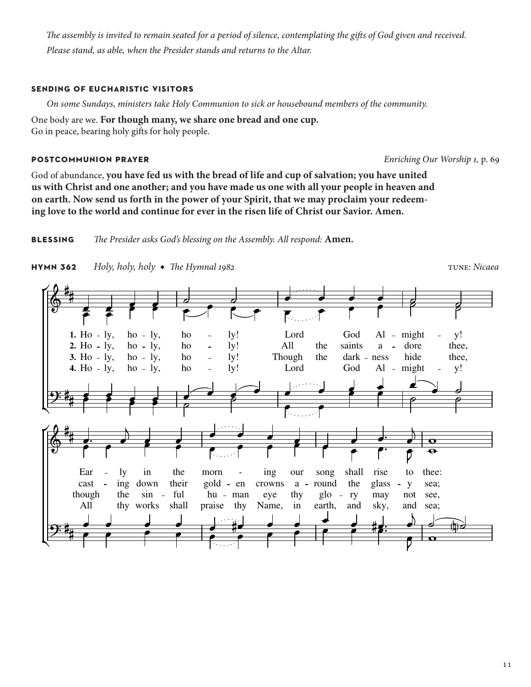*The assembly is invited to remain seated for a period of silence, contemplating the gifts of God given and received. Please stand, as able, when the Presider stands and returns to the Altar.*

# **sending of eucharistic visitors**

*On some Sundays, ministers take Holy Communion to sick or housebound members of the community.* 

One body are we. **For though many, we share one bread and one cup.** Go in peace, bearing holy gifts for holy people.

# **postcommunion prayer** *Enriching Our Worship 1,* p. 69

God of abundance, **you have fed us with the bread of life and cup of salvation; you have united us with Christ and one another; and you have made us one with all your people in heaven and on earth. Now send us forth in the power of your Spirit, that we may proclaim your redeeming love to the world and continue for ever in the risen life of Christ our Savior. Amen.**

**blessing** *The Presider asks God's blessing on the Assembly. All respond:* **Amen.**



 $\frac{\partial}{\partial \theta}$  $\frac{1}{2}$ 

y!

y!

8  $\overline{\mathbf{z}}$